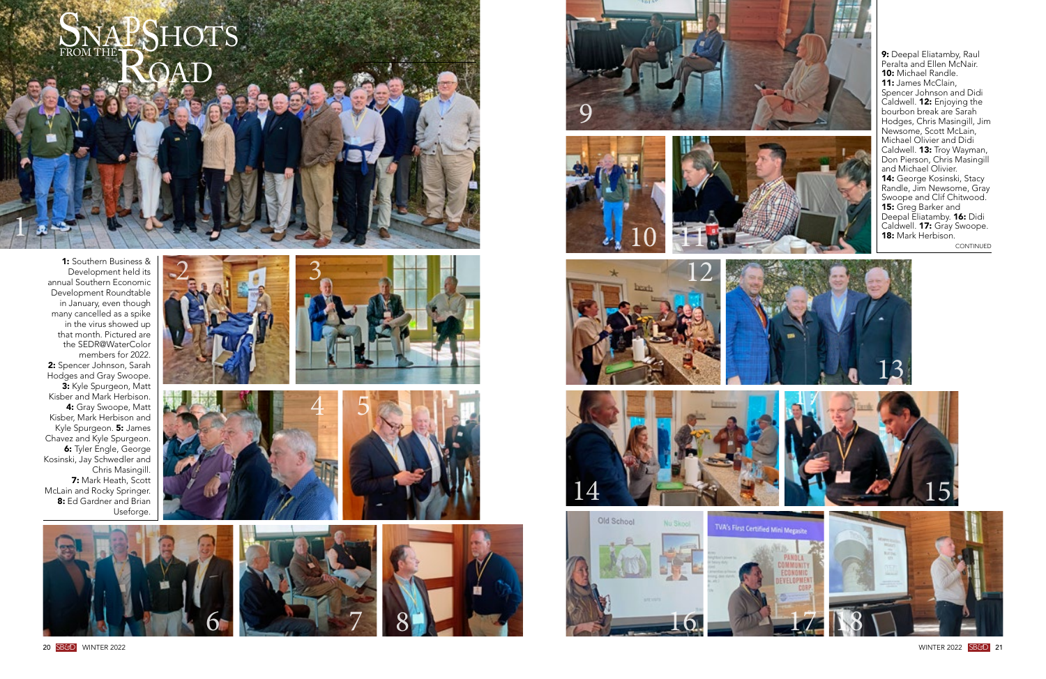20 S B *&*DWINTER 2022 WINTER 2022





9: Deepal Eliatamby, Raul Peralta and Ellen McNair. 10: Michael Randle. 11: James McClain, Spencer Johnson and Didi Caldwell. **12:** Enjoying the bourbon break are Sarah Hodges, Chris Masingill, Jim Newsome, Scott McLain, Michael Olivier and Didi Caldwell. **13:** Troy Wayman, Don Pierson, Chris Masingill and Michael Olivier. 14: George Kosinski, Stacy Randle, Jim Newsome, Gray Swoope and Clif Chitwood. 15: Greg Barker and Deepal Eliatamby. 16: Didi Caldwell. 17: Gray Swoope. 18: Mark Herbison.

S B *&*D<sup>21</sup>

1: Southern Business & Development held its annual Southern Economic Development Roundtable in January, even though many cancelled as a spike in the virus showed up that month. Pictured are the SEDR@WaterColor members for 2022. 2: Spencer Johnson, Sarah Hodges and Gray Swoope. 3: Kyle Spurgeon, Matt Kisber and Mark Herbison. 4: Gray Swoope, Matt Kisber, Mark Herbison and Kyle Spurgeon. 5: James Chavez and Kyle Spurgeon. 6: Tyler Engle, George Kosinski, Jay Schwedler and Chris Masingill. 7: Mark Heath, Scott McLain and Rocky Springer. 8: Ed Gardner and Brian Useforge.

1

3





7



























CONTINUED

TVA's First Certified Mini Megasite